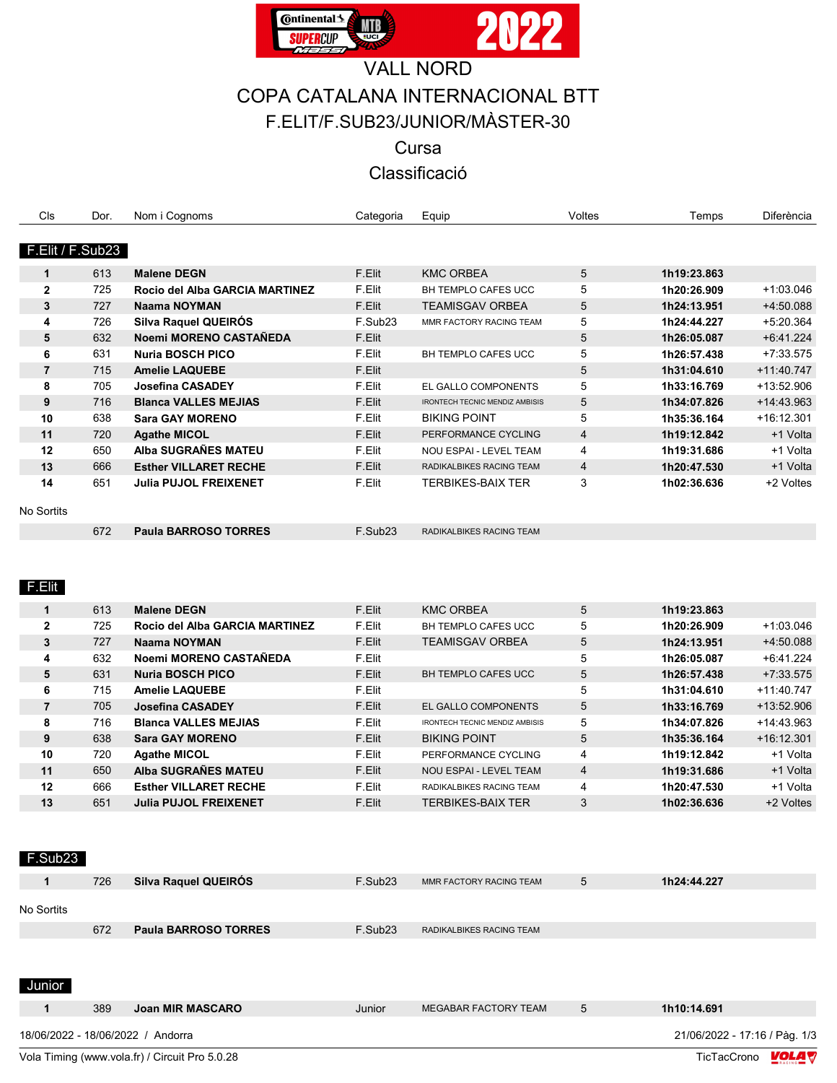

## **VALL NORD** COPA CATALANA INTERNACIONAL BTT F.ELIT/F.SUB23/JUNIOR/MÀSTER-30

Cursa

Classificació

| Cls              | Dor. | Nom i Cognoms                  | Categoria           | Equip                                 | Voltes         | Temps       | Diferència   |
|------------------|------|--------------------------------|---------------------|---------------------------------------|----------------|-------------|--------------|
|                  |      |                                |                     |                                       |                |             |              |
| F.Elit / F.Sub23 |      |                                |                     |                                       |                |             |              |
| $\mathbf{1}$     | 613  | <b>Malene DEGN</b>             | F.Elit              | <b>KMC ORBEA</b>                      | 5              | 1h19:23.863 |              |
| $\mathbf{2}$     | 725  | Rocio del Alba GARCIA MARTINEZ | F.Elit              | BH TEMPLO CAFES UCC                   | 5              | 1h20:26.909 | $+1.03.046$  |
| 3                | 727  | <b>Naama NOYMAN</b>            | F.Elit              | <b>TEAMISGAV ORBEA</b>                | 5              | 1h24:13.951 | +4:50.088    |
| 4                | 726  | Silva Raquel QUEIRÓS           | F.Sub <sub>23</sub> | MMR FACTORY RACING TEAM               | 5              | 1h24:44.227 | $+5:20.364$  |
| 5                | 632  | Noemi MORENO CASTAÑEDA         | F.Elit              |                                       | 5              | 1h26:05.087 | $+6.41.224$  |
| 6                | 631  | <b>Nuria BOSCH PICO</b>        | F.Elit              | <b>BH TEMPLO CAFES UCC</b>            | 5              | 1h26:57.438 | $+7:33.575$  |
| $\overline{7}$   | 715  | <b>Amelie LAQUEBE</b>          | F.Elit              |                                       | 5              | 1h31:04.610 | $+11:40.747$ |
| 8                | 705  | Josefina CASADEY               | F.Elit              | EL GALLO COMPONENTS                   | 5              | 1h33:16.769 | +13:52.906   |
| 9                | 716  | <b>Blanca VALLES MEJIAS</b>    | F.Elit              | <b>IRONTECH TECNIC MENDIZ AMBISIS</b> | 5              | 1h34:07.826 | +14:43.963   |
| 10               | 638  | <b>Sara GAY MORENO</b>         | F.Elit              | <b>BIKING POINT</b>                   | 5              | 1h35:36.164 | $+16:12.301$ |
| 11               | 720  | <b>Agathe MICOL</b>            | F.Elit              | PERFORMANCE CYCLING                   | $\overline{4}$ | 1h19:12.842 | +1 Volta     |
| 12               | 650  | Alba SUGRAÑES MATEU            | F.Elit              | NOU ESPAI - LEVEL TEAM                | 4              | 1h19:31.686 | +1 Volta     |
| 13               | 666  | <b>Esther VILLARET RECHE</b>   | F.Elit              | RADIKALBIKES RACING TEAM              | $\overline{4}$ | 1h20:47.530 | +1 Volta     |
| 14               | 651  | <b>Julia PUJOL FREIXENET</b>   | F.Elit              | <b>TERBIKES-BAIX TER</b>              | 3              | 1h02:36.636 | +2 Voltes    |
| No Sortits       |      |                                |                     |                                       |                |             |              |
|                  | 672  | <b>Paula BARROSO TORRES</b>    | F.Sub <sub>23</sub> | RADIKALBIKES RACING TEAM              |                |             |              |
|                  |      |                                |                     |                                       |                |             |              |
|                  |      |                                |                     |                                       |                |             |              |
| F.Elit           |      |                                |                     |                                       |                |             |              |

|              | 613 | <b>Malene DEGN</b>             | F.Elit | <b>KMC ORBEA</b>                      | 5 | 1h19:23.863 |              |
|--------------|-----|--------------------------------|--------|---------------------------------------|---|-------------|--------------|
| $\mathbf{2}$ | 725 | Rocio del Alba GARCIA MARTINEZ | F.Elit | BH TEMPLO CAFES UCC                   | 5 | 1h20:26.909 | $+1.03.046$  |
| 3            | 727 | Naama NOYMAN                   | F.Elit | <b>TEAMISGAV ORBEA</b>                | 5 | 1h24:13.951 | +4:50.088    |
| 4            | 632 | Noemi MORENO CASTAÑEDA         | F.Elit |                                       | 5 | 1h26:05.087 | $+6.41.224$  |
| 5            | 631 | <b>Nuria BOSCH PICO</b>        | F.Elit | BH TEMPLO CAFES UCC                   | 5 | 1h26:57.438 | $+7:33.575$  |
| 6            | 715 | <b>Amelie LAQUEBE</b>          | F.Elit |                                       | 5 | 1h31:04.610 | $+11.40.747$ |
| 7            | 705 | Josefina CASADEY               | F.Elit | EL GALLO COMPONENTS                   | 5 | 1h33:16.769 | $+13.52.906$ |
| 8            | 716 | <b>Blanca VALLES MEJIAS</b>    | F.Elit | <b>IRONTECH TECNIC MENDIZ AMBISIS</b> | 5 | 1h34:07.826 | $+14.43.963$ |
| 9            | 638 | <b>Sara GAY MORENO</b>         | F.Elit | <b>BIKING POINT</b>                   | 5 | 1h35:36.164 | $+16:12.301$ |
| 10           | 720 | <b>Agathe MICOL</b>            | F.Elit | PERFORMANCE CYCLING                   | 4 | 1h19:12.842 | +1 Volta     |
| 11           | 650 | Alba SUGRAÑES MATEU            | F.Elit | <b>NOU ESPAI - LEVEL TEAM</b>         | 4 | 1h19:31.686 | +1 Volta     |
| 12           | 666 | <b>Esther VILLARET RECHE</b>   | F.Elit | RADIKALBIKES RACING TEAM              | 4 | 1h20:47.530 | +1 Volta     |
| 13           | 651 | <b>Julia PUJOL FREIXENET</b>   | F.Elit | TERBIKES-BAIX TER                     | 3 | 1h02:36.636 | +2 Voltes    |

F.Sub<sub>23</sub>

|            | 726 | Silva Raquel QUEIROS        | F.Sub <sub>23</sub> | MMR FACTORY RACING TEAM  | $\mathcal{L}$ | 1h24:44.227 |
|------------|-----|-----------------------------|---------------------|--------------------------|---------------|-------------|
| No Sortits |     |                             |                     |                          |               |             |
|            | 672 | <b>Paula BARROSO TORRES</b> | F.Sub <sub>23</sub> | RADIKALBIKES RACING TEAM |               |             |
|            |     |                             |                     |                          |               |             |

Junior

|  | 389 | <b>Joan MIR MASCARO</b> | Junior | MEGABAR FACTORY TEAM | 1h10:14.691                   |
|--|-----|-------------------------|--------|----------------------|-------------------------------|
|  |     |                         |        |                      | 21/06/2022 - 17:16 / Pàg. 1/3 |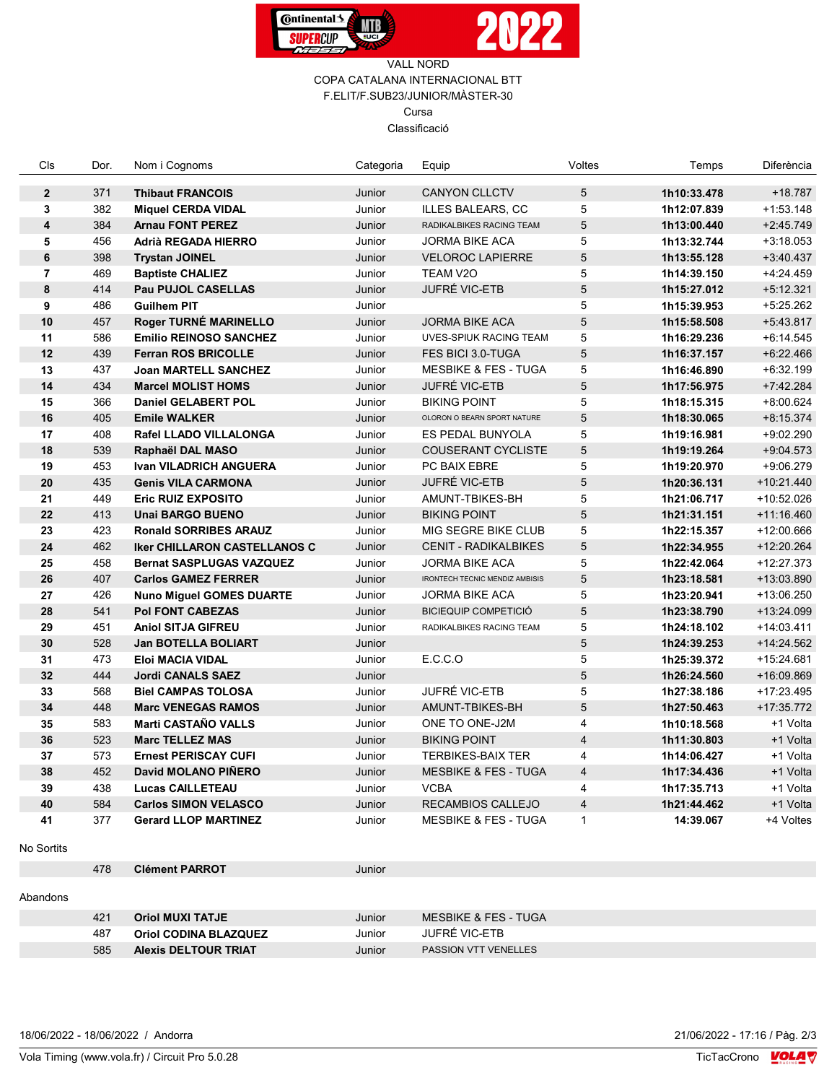



| Cls                     | Dor. | Nom i Cognoms                       | Categoria | Equip                                 | Voltes         | Temps       | Diferència   |
|-------------------------|------|-------------------------------------|-----------|---------------------------------------|----------------|-------------|--------------|
| $\overline{2}$          | 371  | <b>Thibaut FRANCOIS</b>             | Junior    | <b>CANYON CLLCTV</b>                  | 5              | 1h10:33.478 | $+18.787$    |
| 3                       | 382  | <b>Miquel CERDA VIDAL</b>           | Junior    | <b>ILLES BALEARS, CC</b>              | 5              | 1h12:07.839 | $+1.53.148$  |
| $\overline{\mathbf{4}}$ | 384  | <b>Arnau FONT PEREZ</b>             | Junior    | RADIKALBIKES RACING TEAM              | 5              | 1h13:00.440 | $+2:45.749$  |
| 5                       | 456  | Adrià REGADA HIERRO                 | Junior    | <b>JORMA BIKE ACA</b>                 | 5              | 1h13:32.744 | $+3:18.053$  |
| 6                       | 398  | <b>Trystan JOINEL</b>               | Junior    | <b>VELOROC LAPIERRE</b>               | $\sqrt{5}$     | 1h13:55.128 | $+3.40.437$  |
| $\overline{7}$          | 469  | <b>Baptiste CHALIEZ</b>             | Junior    | TEAM V2O                              | 5              | 1h14:39.150 | $+4:24.459$  |
| 8                       | 414  | <b>Pau PUJOL CASELLAS</b>           | Junior    | <b>JUFRÉ VIC-ETB</b>                  | 5              | 1h15:27.012 | $+5.12.321$  |
| 9                       | 486  | <b>Guilhem PIT</b>                  | Junior    |                                       | 5              | 1h15:39.953 | +5:25.262    |
| 10                      | 457  | Roger TURNÉ MARINELLO               | Junior    | <b>JORMA BIKE ACA</b>                 | 5              | 1h15:58.508 | +5:43.817    |
| 11                      | 586  | <b>Emilio REINOSO SANCHEZ</b>       | Junior    | <b>UVES-SPIUK RACING TEAM</b>         | 5              | 1h16:29.236 | $+6.14.545$  |
| 12                      | 439  | <b>Ferran ROS BRICOLLE</b>          | Junior    | FES BICI 3.0-TUGA                     | 5              | 1h16:37.157 | $+6:22.466$  |
| 13                      | 437  | <b>Joan MARTELL SANCHEZ</b>         | Junior    | <b>MESBIKE &amp; FES - TUGA</b>       | 5              | 1h16:46.890 | $+6:32.199$  |
| 14                      | 434  | <b>Marcel MOLIST HOMS</b>           | Junior    | <b>JUFRÉ VIC-ETB</b>                  | $\overline{5}$ | 1h17:56.975 | +7:42.284    |
| 15                      | 366  | Daniel GELABERT POL                 | Junior    | <b>BIKING POINT</b>                   | 5              | 1h18:15.315 | +8:00.624    |
| 16                      | 405  | <b>Emile WALKER</b>                 | Junior    | OLORON O BEARN SPORT NATURE           | 5              | 1h18:30.065 | $+8:15.374$  |
| 17                      | 408  | Rafel LLADO VILLALONGA              | Junior    | ES PEDAL BUNYOLA                      | 5              | 1h19:16.981 | $+9:02.290$  |
| 18                      | 539  | Raphaël DAL MASO                    | Junior    | <b>COUSERANT CYCLISTE</b>             | $\overline{5}$ | 1h19:19.264 | $+9:04.573$  |
| 19                      | 453  | <b>Ivan VILADRICH ANGUERA</b>       | Junior    | PC BAIX EBRE                          | 5              | 1h19:20.970 | +9:06.279    |
| 20                      | 435  | <b>Genis VILA CARMONA</b>           | Junior    | <b>JUFRÉ VIC-ETB</b>                  | $\sqrt{5}$     | 1h20:36.131 | +10:21.440   |
| 21                      | 449  | <b>Eric RUIZ EXPOSITO</b>           | Junior    | AMUNT-TBIKES-BH                       | 5              | 1h21:06.717 | +10:52.026   |
| 22                      | 413  | <b>Unai BARGO BUENO</b>             | Junior    | <b>BIKING POINT</b>                   | 5              | 1h21:31.151 | $+11:16.460$ |
| 23                      | 423  | <b>Ronald SORRIBES ARAUZ</b>        | Junior    | MIG SEGRE BIKE CLUB                   | 5              | 1h22:15.357 | +12:00.666   |
| 24                      | 462  | <b>Iker CHILLARON CASTELLANOS C</b> | Junior    | <b>CENIT - RADIKALBIKES</b>           | $\sqrt{5}$     | 1h22:34.955 | +12:20.264   |
| 25                      | 458  | <b>Bernat SASPLUGAS VAZQUEZ</b>     | Junior    | <b>JORMA BIKE ACA</b>                 | 5              | 1h22:42.064 | $+12:27.373$ |
| 26                      | 407  | <b>Carlos GAMEZ FERRER</b>          | Junior    | <b>IRONTECH TECNIC MENDIZ AMBISIS</b> | 5              | 1h23:18.581 | +13:03.890   |
| 27                      | 426  | <b>Nuno Miguel GOMES DUARTE</b>     | Junior    | <b>JORMA BIKE ACA</b>                 | 5              | 1h23:20.941 | +13:06.250   |
| 28                      | 541  | <b>Pol FONT CABEZAS</b>             | Junior    | <b>BICIEQUIP COMPETICIÓ</b>           | $\overline{5}$ | 1h23:38.790 | +13:24.099   |
| 29                      | 451  | <b>Aniol SITJA GIFREU</b>           | Junior    | RADIKALBIKES RACING TEAM              | 5              | 1h24:18.102 | +14:03.411   |
| 30                      | 528  | <b>Jan BOTELLA BOLIART</b>          | Junior    |                                       | 5              | 1h24:39.253 | +14:24.562   |
| 31                      | 473  | <b>Eloi MACIA VIDAL</b>             | Junior    | E.C.C.O                               | 5              | 1h25:39.372 | +15:24.681   |
| 32                      | 444  | <b>Jordi CANALS SAEZ</b>            | Junior    |                                       | 5              | 1h26:24.560 | +16:09.869   |
| 33                      | 568  | <b>Biel CAMPAS TOLOSA</b>           | Junior    | JUFRÉ VIC-ETB                         | 5              | 1h27:38.186 | +17:23.495   |
| 34                      | 448  | <b>Marc VENEGAS RAMOS</b>           | Junior    | AMUNT-TBIKES-BH                       | 5              | 1h27:50.463 | +17:35.772   |
| 35                      | 583  | <b>Marti CASTAÑO VALLS</b>          | Junior    | ONE TO ONE-J2M                        | $\overline{4}$ | 1h10:18.568 | +1 Volta     |
| 36                      | 523  | <b>Marc TELLEZ MAS</b>              | Junior    | <b>BIKING POINT</b>                   | $\overline{4}$ | 1h11:30.803 | +1 Volta     |
| 37                      | 573  | <b>Ernest PERISCAY CUFI</b>         | Junior    | <b>TERBIKES-BAIX TER</b>              | 4              | 1h14:06.427 | +1 Volta     |
| 38                      | 452  | David MOLANO PIÑERO                 | Junior    | <b>MESBIKE &amp; FES - TUGA</b>       | $\overline{4}$ | 1h17:34.436 | +1 Volta     |
| 39                      | 438  | <b>Lucas CAILLETEAU</b>             | Junior    | <b>VCBA</b>                           | $\overline{4}$ | 1h17:35.713 | +1 Volta     |
| 40                      | 584  | <b>Carlos SIMON VELASCO</b>         | Junior    | <b>RECAMBIOS CALLEJO</b>              | $\overline{4}$ | 1h21:44.462 | +1 Volta     |
| 41                      | 377  | <b>Gerard LLOP MARTINEZ</b>         | Junior    | <b>MESBIKE &amp; FES - TUGA</b>       | $\mathbf{1}$   | 14:39.067   | +4 Voltes    |

No Sortits

478 Clément PARROT Junior

## Abandons

| 421 | <b>Oriol MUXI TATJE</b>      | Junior | MESBIKE & FES - TUGA        |
|-----|------------------------------|--------|-----------------------------|
| 487 | <b>Oriol CODINA BLAZQUEZ</b> | Junior | JUFRÉ VIC-ETB               |
| 585 | <b>Alexis DELTOUR TRIAT</b>  | Junior | <b>PASSION VTT VENELLES</b> |